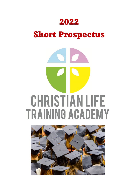## 2022

# Short Prospectus

# **CHRISTIAN LIFE TRAINING ACADEMY**

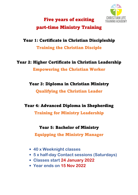

### Five years of exciting part-time Ministry Training

#### Year 1: Certificate in Christian Discipleship

Training the Christian Disciple

Year 2: Higher Certificate in Christian Leadership Empowering the Christian Worker

#### Year 3: Diploma in Christian Ministry Qualifying the Christian Leader

#### Year 4: Advanced Diploma in Shepherding

Training for Ministry Leadership

#### Year 5: Bachelor of Ministry

Equipping the Ministry Manager

- **40 x Weeknight classes**
- **5 x half-day Contact sessions (Saturdays)**
- **Classes start 24 January 2022**
- **Year ends on 15 Nov 2022**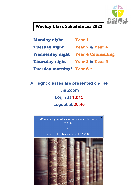

#### Weekly Class Schedule for 2022

| <b>Monday night</b>                       | <b>Year 1</b>              |
|-------------------------------------------|----------------------------|
| <b>Tuesday night</b>                      | <b>Year 2 &amp; Year 4</b> |
| <b>Wednesday night Year 4 Counselling</b> |                            |
| <b>Thursday night</b>                     | <b>Year 3 &amp; Year 5</b> |
| Tuesday morning* Year 6 *                 |                            |

**All night classes are presented on-line via Zoom Login at 18:15 Logout at 20:40**